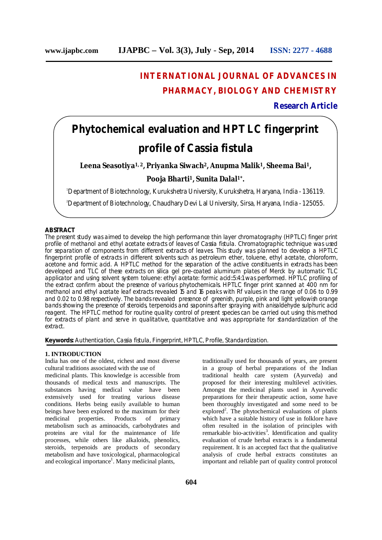# **INTERNATIONAL JOURNAL OF ADVANCES IN PHARMACY, BIOLOGY AND CHEMISTRY**

# **Research Article**

# **Phytochemical evaluation and HPTLC fingerprint profile of** *Cassia fistula*

**Leena Seasotiya1, <sup>2</sup>, Priyanka Siwach<sup>2</sup>, Anupma Malik<sup>1</sup>, Sheema Bai 1,**

# **Pooja Bharti <sup>1</sup>, Sunita Dalal 1\* .**

<sup>1</sup>Department of Biotechnology, Kurukshetra University, Kurukshetra, Haryana, India - 136119.

<sup>2</sup>Department of Biotechnology, Chaudhary Devi Lal University, Sirsa, Haryana, India - 125055.

#### **ABSTRACT**

The present study was aimed to develop the high performance thin layer chromatography (HPTLC) finger print profile of methanol and ethyl acetate extracts of leaves of *Cassia fistula.* Chromatographic technique was used for separation of components from different extracts of leaves. This study was planned to develop a HPTLC fingerprint profile of extracts in different solvents such as petroleum ether, toluene, ethyl acetate, chloroform, acetone and formic acid. A HPTLC method for the separation of the active constituents in extracts has been developed and TLC of these extracts on silica gel pre-coated aluminum plates of Merck by automatic TLC applicator and using solvent system toluene: ethyl acetate: formic acid::5:4:1 was performed. HPTLC profiling of the extract confirm about the presence of various phytochemicals. HPTLC finger print scanned at 400 nm for methanol and ethyl acetate leaf extracts revealed 15 and 16 peaks with Rf values in the range of 0.06 to 0.99 and 0.02 to 0.98 respectively. The bands revealed presence of greenish, purple, pink and light yellowish orange bands showing the presence of steroids, terpenoids and saponins after spraying with anisaldehyde sulphuric acid reagent. The HPTLC method for routine quality control of present species can be carried out using this method for extracts of plant and serve in qualitative, quantitative and was appropriate for standardization of the extract.

**Keywords:** Authentication, *Cassia fistula*, Fingerprint, HPTLC, Profile, Standardization.

#### **1. INTRODUCTION**

India has one of the oldest, richest and most diverse cultural traditions associated with the use of

medicinal plants. This knowledge is accessible from thousands of medical texts and manuscripts. The substances having medical value have been extensively used for treating various disease conditions. Herbs being easily available to human beings have been explored to the maximum for their<br>medicinal properties. Products of primary medicinal properties. Products of primary metabolism such as aminoacids, carbohydrates and proteins are vital for the maintenance of life processes, while others like alkaloids, phenolics, steroids, terpenoids are products of secondary metabolism and have toxicological, pharmacological and ecological importance<sup>1</sup>. Many medicinal plants,

traditionally used for thousands of years, are present in a group of herbal preparations of the Indian traditional health care system (Ayurveda) and proposed for their interesting multilevel activities. Amongst the medicinal plants used in Ayurvedic preparations for their therapeutic action, some have been thoroughly investigated and some need to be explored<sup>2</sup>. The phytochemical evaluations of plants which have a suitable history of use in folklore have often resulted in the isolation of principles with remarkable bio-activities<sup>3</sup>. Identification and quality evaluation of crude herbal extracts is a fundamental requirement. It is an accepted fact that the qualitative analysis of crude herbal extracts constitutes an important and reliable part of quality control protocol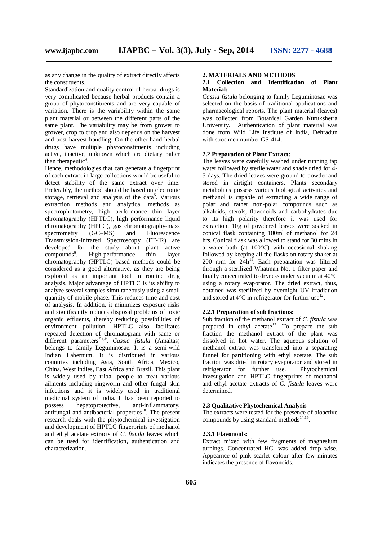as any change in the quality of extract directly affects the constituents.

Standardization and quality control of herbal drugs is very complicated because herbal products contain a group of phytoconstituents and are very capable of variation. There is the variability within the same plant material or between the different parts of the same plant. The variability may be from grower to grower, crop to crop and also depends on the harvest and post harvest handling. On the other hand herbal drugs have multiple phytoconstituents including active, inactive, unknown which are dietary rather than therapeutic<sup>4</sup>.

Hence, methodologies that can generate a fingerprint of each extract in large collections would be useful to detect stability of the same extract over time. Preferably, the method should be based on electronic storage, retrieval and analysis of the data<sup>5</sup>. Various extraction methods and analytical methods as spectrophotometry, high performance thin layer chromatography (HPTLC), high performance liquid chromatography (HPLC), gas chromatography-mass<br>spectrometry (GC–MS) and Fluorescence spectrometry  $(GC-MS)$  and Transmission-Infrared Spectroscopy (FT-IR) are developed for the study about plant active compounds 6 . High-performance thin layer chromatography (HPTLC) based methods could be considered as a good alternative, as they are being explored as an important tool in routine drug analysis. Major advantage of HPTLC is its ability to analyze several samples simultaneously using a small quantity of mobile phase. This reduces time and cost of analysis. In addition, it minimizes exposure risks and significantly reduces disposal problems of toxic organic effluents, thereby reducing possibilities of environment pollution. HPTLC also facilitates repeated detection of chromatogram with same or different parameters 7,8,9 . *Cassia fistula* (Amaltas) belongs to family Leguminosae. It is a semi-wild Indian Labernum. It is distributed in various countries including Asia, South Africa, Mexico, China, West Indies, East Africa and Brazil. This plant is widely used by tribal people to treat various ailments including ringworm and other fungal skin infections and it is widely used in traditional medicinal system of India. It has been reported to possess hepatoprotective. anti-inflammatory. possess hepatoprotective, antifungal and antibacterial properties<sup>10</sup>. The present research deals with the phytochemical investigation and development of HPTLC fingerprints of methanol and ethyl acetate extracts of *C. fistula* leaves which can be used for identification, authentication and characterization.

#### **2. MATERIALS AND METHODS**

#### **2.1 Collection and Identification of Plant Material:**

*Cassia fistula* belonging to family Leguminosae was selected on the basis of traditional applications and pharmacological reports. The plant material (leaves) was collected from Botanical Garden Kurukshetra University. Authentication of plant material was done from Wild Life Institute of India, Dehradun with specimen number GS-414.

#### **2.2 Preparation of Plant Extract:**

The leaves were carefully washed under running tap water followed by sterile water and shade dried for 4- 5 days. The dried leaves were ground to powder and stored in airtight containers. Plants secondary metabolites possess various biological activities and methanol is capable of extracting a wide range of polar and rather non-polar compounds such as alkaloids, sterols, flavonoids and carbohydrates due to its high polarity therefore it was used for extraction. 10g of powdered leaves were soaked in conical flask containing 100ml of methanol for 24 hrs. Conical flask was allowed to stand for 30 mins in a water bath (at 100°C) with occasional shaking followed by keeping all the flasks on rotary shaker at 200 rpm for 24h<sup>11</sup>. Each preparation was filtered through a sterilized Whatman No. 1 filter paper and finally concentrated to dryness under vacuum at 40°C using a rotary evaporator. The dried extract, thus, obtained was sterilized by overnight UV-irradiation and stored at  $4^{\circ}$ C in refrigerator for further use<sup>12</sup>.

#### **2.2.1 Preparation of sub fractions:**

Sub fraction of the methanol extract of *C. fistula* was prepared in ethyl acetate<sup>13</sup>. To prepare the sub fraction the methanol extract of the plant was dissolved in hot water. The aqueous solution of methanol extract was transferred into a separating funnel for partitioning with ethyl acetate. The sub fraction was dried in rotary evaporator and stored in refrigerator for further use. Phytochemical  $refrierator$  for further use. investigation and HPTLC fingerprints of methanol and ethyl acetate extracts of *C. fistula* leaves were determined.

#### **2.3 Qualitative Phytochemical Analysis**

The extracts were tested for the presence of bioactive compounds by using standard methods<sup>14,15</sup>.

#### **2.3.1 Flavonoids:**

Extract mixed with few fragments of magnesium turnings. Concentrated HCl was added drop wise. Appearnce of pink scarlet colour after few minutes indicates the presence of flavonoids.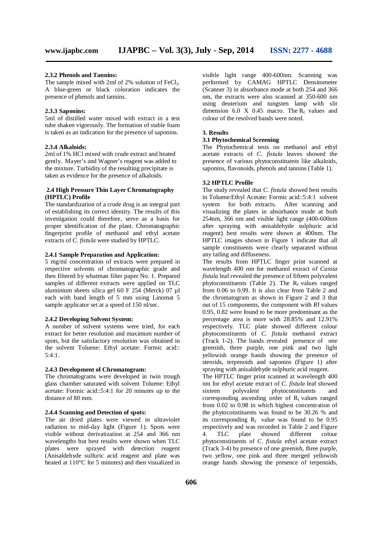#### **2.3.2 Phenols and Tannins:**

The sample mixed with 2ml of  $2\%$  solution of FeCl<sub>3</sub>. A blue-green or black coloration indicates the presence of phenols and tannins.

#### **2.3.3 Saponins:**

5ml of distilled water mixed with extract in a test tube shaken vigorously. The formation of stable foam is taken as an indication for the presence of saponins.

#### **2.3.4 Alkaloids:**

2ml of 1% HCl mixed with crude extract and heated gently. Mayer's and Wagner's reagent was added to the mixture. Turbidity of the resulting precipitate is taken as evidence for the presence of alkaloids.

#### **2.4 High Pressure Thin Layer Chromatography (HPTLC) Profile**

The standardization of a crude drug is an integral part of establishing its correct identity. The results of this investigation could therefore, serve as a basis for proper identification of the plant. Chromatographic fingerprint profile of methanol and ethyl acetate extracts of *C. fistula* were studied by HPTLC.

#### **2.4.1 Sample Preparation and Application:**

5 mg/ml concentration of extracts were prepared in respective solvents of chromatographic grade and then filtered by whatman filter paper No. 1. Prepared samples of different extracts were applied on TLC aluminium sheets silica gel 60 F 254 (Merck) 07 µl each with band length of 5 mm using Linomat 5 sample applicator set at a speed of 150 nl/sec.

#### **2.4.2 Developing Solvent System:**

A number of solvent systems were tried, for each extract for better resolution and maximum number of spots, but the satisfactory resolution was obtained in the solvent Toluene: Ethyl acetate: Formic acid:: 5:4:1.

### **2.4.3 Development of Chromatogram:**

The chromatograms were developed in twin trough glass chamber saturated with solvent Toluene: Ethyl acetate: Formic acid::5:4:1 for 20 minutes up to the distance of 80 mm.

#### **2.4.4 Scanning and Detection of spots:**

The air dried plates were viewed in ultraviolet radiation to mid-day light (Figure 1). Spots were visible without derivatization at 254 and 366 nm wavelengths but best results were shown when TLC plates were sprayed with detection reagent (Anisaldehyde sulfuric acid reagent and plate was heated at 110°C for 5 minutes) and then visualized in

visible light range 400-600nm. Scanning was performed by CAMAG HPTLC Densitometer (Scanner 3) in absorbance mode at both 254 and 366 nm, the extracts were also scanned at 350-600 nm using deuterium and tungsten lamp with slit dimension 6.0 X 0.45 macro. The  $R_f$  values and colour of the resolved bands were noted.

#### **3. Results**

#### **3.1 Phytochemical Screening**

The Phytochemical tests on methanol and ethyl acetate extracts of *C. fistula* leaves showed the presence of various phytoconstituents like alkaloids, saponins, flavonoids, phenols and tannins (Table 1)*.*

#### **3.2 HPTLC Profile**

The study revealed that *C. fistula* showed best results in Toluene:Ethyl Acetate: Formic acid::5:4:1 solvent system for both extracts. After scanning and visualizing the plates in absorbance mode at both 254nm, 366 nm and visible light range (400-600nm after spraying with anisaldehyde sulphuric acid reagent) best results were shown at 400nm. The HPTLC images shown in Figure 1 indicate that all sample constituents were clearly separated without any tailing and diffuseness.

The results from HPTLC finger print scanned at wavelength 400 nm for methanol extract of *Cassia fistula* leaf revealed the presence of fifteen polyvalent phytoconstituents (Table 2). The  $R_f$  values ranged from 0.06 to 0.99. It is also clear from Table 2 and the chromatogram as shown in Figure 2 and 3 that out of 15 components, the component with *R*f values 0.95, 0.82 were found to be more predominant as the percentage area is more with 28.85% and 12.91% respectively. TLC plate showed different colour phytoconstituents of *C. fistula* methanol extract (Track 1-2). The bands revealed presence of one greenish, three purple, one pink and two light yellowish orange bands showing the presence of steroids, terpenoids and saponins (Figure 1) after spraying with anisaldehyde sulphuric acid reagent.

The HPTLC finger print scanned at wavelength 400 nm for ethyl acetate extract of *C. fistula* leaf showed<br>sixteen polyvalent phytoconstituents and sixteen polyvalent phytoconstituents and corresponding ascending order of  $R_f$  values ranged from 0.02 to 0.98 in which highest concentration of the phytoconstituents was found to be 30.26 % and its corresponding  $R_f$  value was found to be 0.95 respectively and was recorded in Table 2 and Figure<br>4. TLC plate showed different colour 4. TLC plate showed different colour phytoconstituents of *C. fistula* ethyl acetate extract (Track 3-4) by presence of one greenish, three purple, two yellow, one pink and three merged yellowish orange bands showing the presence of terpenoids,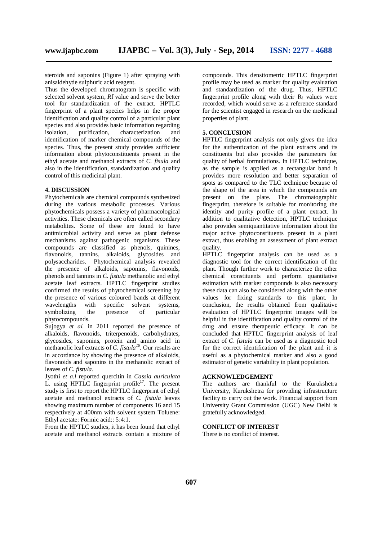steroids and saponins (Figure 1) after spraying with

anisaldehyde sulphuric acid reagent. Thus the developed chromatogram is specific with selected solvent system, *Rf* value and serve the better tool for standardization of the extract. HPTLC fingerprint of a plant species helps in the proper identification and quality control of a particular plant species and also provides basic information regarding isolation, purification, characterization and identification of marker chemical compounds of the species. Thus, the present study provides sufficient information about phytoconstituents present in the ethyl acetate and methanol extracts of *C. fisula* and also in the identification, standardization and quality control of this medicinal plant.

## **4. DISCUSSION**

Phytochemicals are chemical compounds synthesized during the various metabolic processes. Various phytochemicals possess a variety of pharmacological activities. These chemicals are often called secondary metabolites. Some of these are found to have antimicrobial activity and serve as plant defense mechanisms against pathogenic organisms. These compounds are classified as phenols, quinines, flavonoids, tannins, alkaloids, glycosides and polysaccharides. Phytochemical analysis revealed the presence of alkaloids, saponins, flavonoids, phenols and tannins in *C. fistula* methanolic and ethyl acetate leaf extracts. HPTLC fingerprint studies confirmed the results of phytochemical screening by the presence of various coloured bands at different<br>wavelengths with specific solvent systems, with specific solvent systems,<br>the presence of particular symbolizing phytocompounds.

Sujogya *et al.* in 2011 reported the presence of alkaloids, flavonoids, triterpenoids, carbohydrates, glycosides, saponins, protein and amino acid in methanolic leaf extracts of *C. fistula 16* . Our results are in accordance by showing the presence of alkaloids, flavonoids and saponins in the methanolic extract of leaves of *C. fistula*.

Jyothi *et a.l* reported quercitin in *Cassia auriculata* L. using HPTLC fingerprint profile<sup>17</sup>. The present study is first to report the HPTLC fingerprint of ethyl acetate and methanol extracts of *C. fistula* leaves showing maximum number of components 16 and 15 respectively at 400nm with solvent system Toluene: Ethyl acetate: Formic acid:: 5:4:1.

From the HPTLC studies, it has been found that ethyl acetate and methanol extracts contain a mixture of

compounds. This densitometric HPTLC fingerprint profile may be used as marker for quality evaluation and standardization of the drug. Thus, HPTLC fingerprint profile along with their  $R_f$  values were recorded, which would serve as a reference standard for the scientist engaged in research on the medicinal properties of plant.

#### **5. CONCLUSION**

HPTLC fingerprint analysis not only gives the idea for the authentication of the plant extracts and its constituents but also provides the parameters for quality of herbal formulations. In HPTLC technique, as the sample is applied as a rectangular band it provides more resolution and better separation of spots as compared to the TLC technique because of the shape of the area in which the compounds are present on the plate. The chromatographic fingerprint, therefore is suitable for monitoring the identity and purity profile of a plant extract. In addition to qualitative detection, HPTLC technique also provides semiquantitative information about the major active phytoconstituents present in a plant extract, thus enabling an assessment of plant extract quality.

HPTLC fingerprint analysis can be used as a diagnostic tool for the correct identification of the plant. Though further work to characterize the other chemical constituents and perform quantitative estimation with marker compounds is also necessary these data can also be considered along with the other values for fixing standards to this plant. In conclusion, the results obtained from qualitative evaluation of HPTLC fingerprint images will be helpful in the identification and quality control of the drug and ensure therapeutic efficacy. It can be concluded that HPTLC fingerprint analysis of leaf extract of *C. fistula* can be used as a diagnostic tool for the correct identification of the plant and it is useful as a phytochemical marker and also a good estimator of genetic variability in plant population.

#### **ACKNOWLEDGEMENT**

The authors are thankful to the Kurukshetra University, Kurukshetra for providing infrastructure facility to carry out the work. Financial support from University Grant Commission (UGC) New Delhi is gratefully acknowledged.

#### **CONFLICT OF INTEREST**

There is no conflict of interest.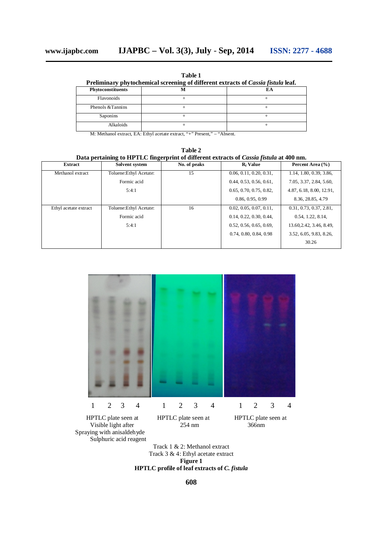**Table 1**

| Preliminary phytochemical screening of different extracts of Cassia fistula leaf. |  |  |  |  |  |
|-----------------------------------------------------------------------------------|--|--|--|--|--|
| Phytoconstituents                                                                 |  |  |  |  |  |
| Flavonoids                                                                        |  |  |  |  |  |
| Phenols & Tannins                                                                 |  |  |  |  |  |
| Saponins                                                                          |  |  |  |  |  |
| <b>Alkaloids</b>                                                                  |  |  |  |  |  |
|                                                                                   |  |  |  |  |  |

M: Methanol extract, EA: Ethyl acetate extract, "+" Present," – "Absent.

**Table 2 Data pertaining to HPTLC fingerprint of different extracts of** *Cassia fistula* **at 400 nm.**

| <b>Extract</b>        | Solvent system          | No. of peaks | R <sub>f</sub> Value    | Percent Area (%)         |
|-----------------------|-------------------------|--------------|-------------------------|--------------------------|
| Methanol extract      | Toluene: Ethyl Acetate: | 15           | 0.06, 0.11, 0.20, 0.31, | 1.14, 1.80, 0.39, 3.86,  |
|                       | Formic acid             |              | 0.44, 0.53, 0.56, 0.61, | 7.05, 3.37, 2.84, 5.60,  |
|                       | 5:4:1                   |              | 0.65, 0.70, 0.75, 0.82, | 4.87, 6.18, 8.00, 12.91, |
|                       |                         |              | 0.86, 0.95, 0.99        | 8.36, 28.85, 4.79        |
| Ethyl acetate extract | Toluene: Ethyl Acetate: | 16           | 0.02, 0.05, 0.07, 0.11, | 0.31, 0.73, 0.37, 2.81,  |
|                       | Formic acid             |              | 0.14, 0.22, 0.30, 0.44, | 0.54, 1.22, 8.14,        |
|                       | 5:4:1                   |              | 0.52, 0.56, 0.65, 0.69, | 13.60, 2.42, 3.46, 8.49, |
|                       |                         |              | 0.74, 0.80, 0.84, 0.98  | 3.52, 6.05, 9.83, 8.26,  |
|                       |                         |              |                         | 30.26                    |



Visible light after Spraying with anisaldehyde Sulphuric acid reagent

Track 1 & 2: Methanol extract Track 3 & 4: Ethyl acetate extract **Figure 1 HPTLC profile of leaf extracts of** *C. fistula*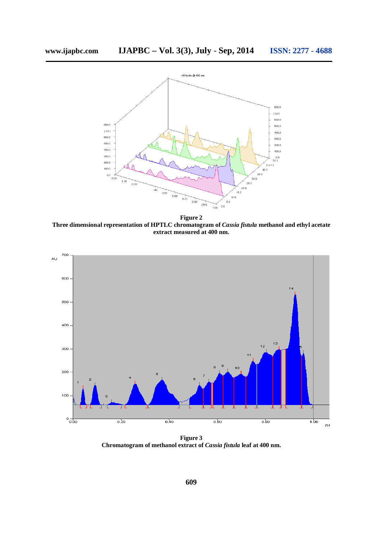

**Figure 2 Three dimensional representation of HPTLC chromatogram of** *Cassia fistula* **methanol and ethyl acetate extract measured at 400 nm.**



**Figure 3 Chromatogram of methanol extract of** *Cassia fistula* **leaf at 400 nm.**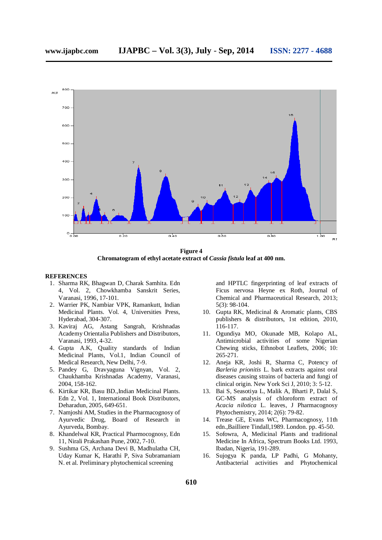

**Figure 4 Chromatogram of ethyl acetate extract of** *Cassia fistula* **leaf at 400 nm.**

#### **REFERENCES**

- 1. Sharma RK, Bhagwan D, Charak Samhita. Edn 4, Vol. 2, Chowkhamba Sanskrit Series, Varanasi, 1996, 17-101.
- 2. Warrier PK, Nambiar VPK, Ramankutt, Indian Medicinal Plants. Vol. 4, Universities Press, Hyderabad, 304-307.
- 3. Kaviraj AG, Astang Sangrah, Krishnadas Academy Orientalia Publishers and Distributors, Varanasi, 1993, 4-32.
- 4. Gupta A.K, Quality standards of Indian Medicinal Plants, Vol.1, Indian Council of Medical Research, New Delhi, 7-9.
- 5. Pandey G, Dravyaguna Vignyan, Vol. 2, Chaukhamba Krishnadas Academy, Varanasi, 2004, 158-162.
- 6. Kirtikar KR, Basu BD.,Indian Medicinal Plants. Edn 2, Vol. 1, International Book Distributors, Deharadun, 2005, 649-651.
- 7. Namjoshi AM, Studies in the Pharmacognosy of Ayurvedic Drug, Board of Research in Ayurveda, Bombay.
- 8. Khandelwal KR, Practical Pharmocognosy, Edn 11, Nirali Prakashan Pune, 2002, 7-10.
- 9. Sushma GS, Archana Devi B, Madhulatha CH, Uday Kumar K, Harathi P, Siva Subramaniam N. et al. Preliminary phytochemical screening

and HPTLC fingerprinting of leaf extracts of Ficus nervosa Heyne ex Roth, Journal of Chemical and Pharmaceutical Research, 2013; 5(3): 98-104.

- 10. Gupta RK, Medicinal & Aromatic plants, CBS publishers & distributors, 1st edition, 2010, 116-117.
- 11. Ogundiya MO, Okunade MB, Kolapo AL, Antimicrobial activities of some Nigerian Chewing sticks, Ethnobot Leaflets, 2006; 10: 265-271.
- 12. Aneja KR, Joshi R, Sharma C, Potency of *Barleria prionitis* L. bark extracts against oral diseases causing strains of bacteria and fungi of clinical origin. New York Sci J, 2010; 3: 5-12.
- 13. Bai S, Seasotiya L, Malik A, Bharti P, Dalal S, GC-MS analysis of chloroform extract of *Acacia nilotica* L. leaves, J Pharmacognosy Phytochemistry, 2014; 2(6): 79-82.
- 14. Trease GE, Evans WC, Pharmacognosy, 11th edn.,Bailliere Tindall,1989. London. pp. 45-50.
- 15. Sofowra, A, Medicinal Plants and traditional Medicine In Africa, Spectrum Books Ltd. 1993, Ibadan, Nigeria, 191-289.
- 16. Sujogya K panda, LP Padhi, G Mohanty, Antibacterial activities and Phytochemical